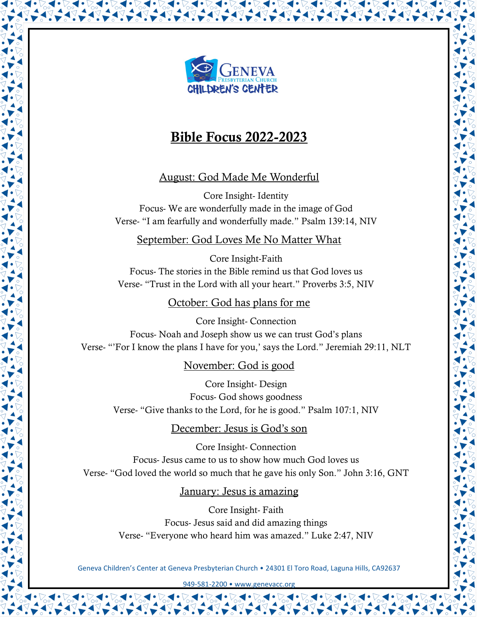

# Bible Focus 2022-2023

## August: God Made Me Wonderful

Core Insight- Identity Focus- We are wonderfully made in the image of God Verse- "I am fearfully and wonderfully made." Psalm 139:14, NIV

## September: God Loves Me No Matter What

Core Insight-Faith Focus- The stories in the Bible remind us that God loves us Verse- "Trust in the Lord with all your heart." Proverbs 3:5, NIV

## October: God has plans for me

Core Insight- Connection Focus- Noah and Joseph show us we can trust God's plans Verse- "'For I know the plans I have for you,' says the Lord." Jeremiah 29:11, NLT

## November: God is good

Core Insight- Design Focus- God shows goodness Verse- "Give thanks to the Lord, for he is good." Psalm 107:1, NIV

## December: Jesus is God's son

Core Insight- Connection Focus- Jesus came to us to show how much God loves us Verse- "God loved the world so much that he gave his only Son." John 3:16, GNT

## January: Jesus is amazing

Core Insight- Faith Focus- Jesus said and did amazing things Verse- "Everyone who heard him was amazed." Luke 2:47, NIV

Geneva Children's Center at Geneva Presbyterian Church • 24301 El Toro Road, Laguna Hills, CA92637

949-581-2200 • www.genevacc.or